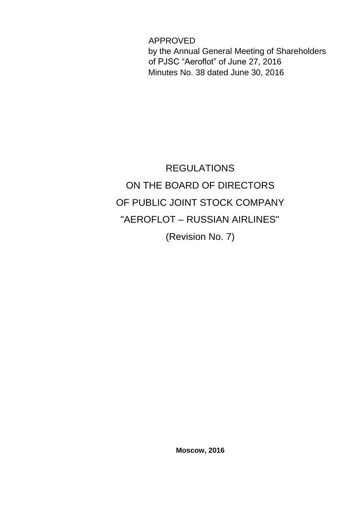APPROVED by the Annual General Meeting of Shareholders of PJSC "Aeroflot" of June 27, 2016 Minutes No. 38 dated June 30, 2016

# REGULATIONS ON THE BOARD OF DIRECTORS OF PUBLIC JOINT STOCK COMPANY "AEROFLOT – RUSSIAN AIRLINES" (Revision No. 7)

**Moscow, 2016**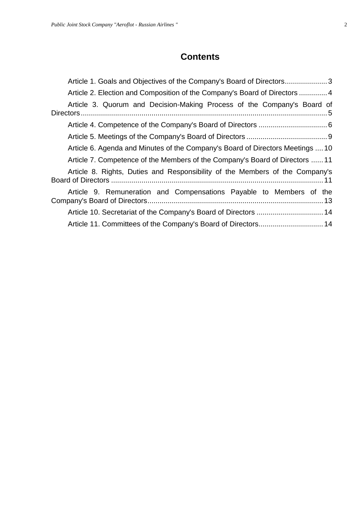# **Contents**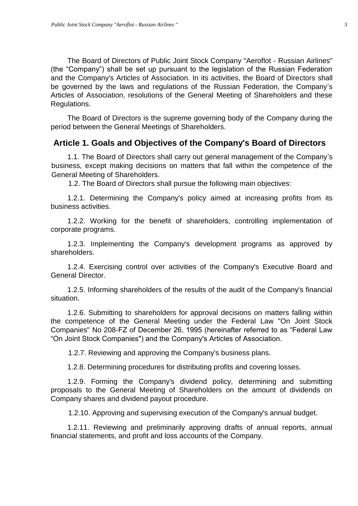The Board of Directors of Public Joint Stock Company "Aeroflot - Russian Airlines" (the "Company") shall be set up pursuant to the legislation of the Russian Federation and the Company's Articles of Association. In its activities, the Board of Directors shall be governed by the laws and regulations of the Russian Federation, the Company's Articles of Association, resolutions of the General Meeting of Shareholders and these Regulations.

The Board of Directors is the supreme governing body of the Company during the period between the General Meetings of Shareholders.

#### <span id="page-2-0"></span>**Article 1. Goals and Objectives of the Company's Board of Directors**

1.1. The Board of Directors shall carry out general management of the Company's business, except making decisions on matters that fall within the competence of the General Meeting of Shareholders.

1.2. The Board of Directors shall pursue the following main objectives:

1.2.1. Determining the Company's policy aimed at increasing profits from its business activities.

1.2.2. Working for the benefit of shareholders, controlling implementation of corporate programs.

1.2.3. Implementing the Company's development programs as approved by shareholders.

1.2.4. Exercising control over activities of the Company's Executive Board and General Director.

1.2.5. Informing shareholders of the results of the audit of the Company's financial situation.

1.2.6. Submitting to shareholders for approval decisions on matters falling within the competence of the General Meeting under the Federal Law "On Joint Stock Companies" No 208-FZ of December 26, 1995 (hereinafter referred to as "Federal Law "On Joint Stock Companies") and the Company's Articles of Association.

1.2.7. Reviewing and approving the Company's business plans.

1.2.8. Determining procedures for distributing profits and covering losses.

1.2.9. Forming the Company's dividend policy, determining and submitting proposals to the General Meeting of Shareholders on the amount of dividends on Company shares and dividend payout procedure.

1.2.10. Approving and supervising execution of the Company's annual budget.

1.2.11. Reviewing and preliminarily approving drafts of annual reports, annual financial statements, and profit and loss accounts of the Company.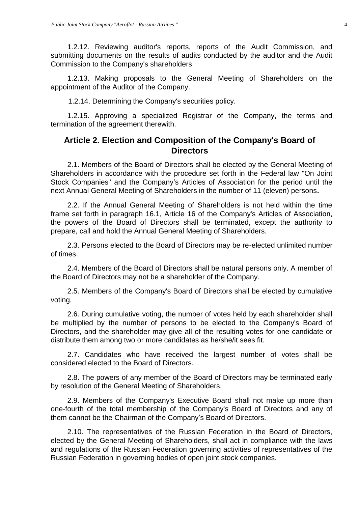1.2.12. Reviewing auditor's reports, reports of the Audit Commission, and submitting documents on the results of audits conducted by the auditor and the Audit Commission to the Company's shareholders.

1.2.13. Making proposals to the General Meeting of Shareholders on the appointment of the Auditor of the Company.

1.2.14. Determining the Company's securities policy.

1.2.15. Approving a specialized Registrar of the Company, the terms and termination of the agreement therewith.

## <span id="page-3-0"></span>**Article 2. Election and Composition of the Company's Board of Directors**

2.1. Members of the Board of Directors shall be elected by the General Meeting of Shareholders in accordance with the procedure set forth in the Federal law "On Joint Stock Companies" and the Company's Articles of Association for the period until the next Annual General Meeting of Shareholders in the number of 11 (eleven) persons**.** 

2.2. If the Annual General Meeting of Shareholders is not held within the time frame set forth in paragraph 16.1, Article 16 of the Company's Articles of Association, the powers of the Board of Directors shall be terminated, except the authority to prepare, call and hold the Annual General Meeting of Shareholders.

2.3. Persons elected to the Board of Directors may be re-elected unlimited number of times.

2.4. Members of the Board of Directors shall be natural persons only. A member of the Board of Directors may not be a shareholder of the Company.

2.5. Members of the Company's Board of Directors shall be elected by cumulative voting.

2.6. During cumulative voting, the number of votes held by each shareholder shall be multiplied by the number of persons to be elected to the Company's Board of Directors, and the shareholder may give all of the resulting votes for one candidate or distribute them among two or more candidates as he/she/it sees fit.

2.7. Candidates who have received the largest number of votes shall be considered elected to the Board of Directors.

2.8. The powers of any member of the Board of Directors may be terminated early by resolution of the General Meeting of Shareholders.

2.9. Members of the Company's Executive Board shall not make up more than one-fourth of the total membership of the Company's Board of Directors and any of them cannot be the Chairman of the Company's Board of Directors.

2.10. The representatives of the Russian Federation in the Board of Directors, elected by the General Meeting of Shareholders, shall act in compliance with the laws and regulations of the Russian Federation governing activities of representatives of the Russian Federation in governing bodies of open joint stock companies.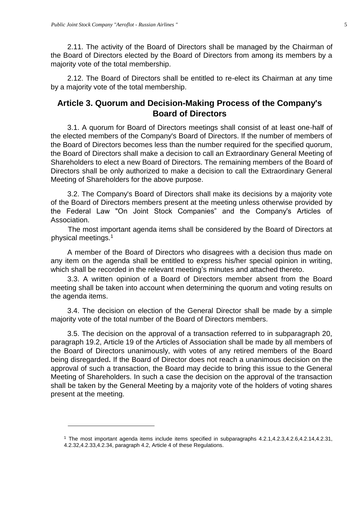1

2.11. The activity of the Board of Directors shall be managed by the Chairman of the Board of Directors elected by the Board of Directors from among its members by a majority vote of the total membership.

2.12. The Board of Directors shall be entitled to re-elect its Chairman at any time by a majority vote of the total membership.

## <span id="page-4-0"></span>**Article 3. Quorum and Decision-Making Process of the Company's Board of Directors**

3.1. A quorum for Board of Directors meetings shall consist of at least one-half of the elected members of the Company's Board of Directors. If the number of members of the Board of Directors becomes less than the number required for the specified quorum, the Board of Directors shall make a decision to call an Extraordinary General Meeting of Shareholders to elect a new Board of Directors. The remaining members of the Board of Directors shall be only authorized to make a decision to call the Extraordinary General Meeting of Shareholders for the above purpose.

3.2. The Company's Board of Directors shall make its decisions by a majority vote of the Board of Directors members present at the meeting unless otherwise provided by the Federal Law "On Joint Stock Companies" and the Company's Articles of Association.

The most important agenda items shall be considered by the Board of Directors at physical meetings.<sup>1</sup>

A member of the Board of Directors who disagrees with a decision thus made on any item on the agenda shall be entitled to express his/her special opinion in writing, which shall be recorded in the relevant meeting's minutes and attached thereto.

3.3. A written opinion of a Board of Directors member absent from the Board meeting shall be taken into account when determining the quorum and voting results on the agenda items.

3.4. The decision on election of the General Director shall be made by a simple majority vote of the total number of the Board of Directors members.

3.5. The decision on the approval of a transaction referred to in subparagraph 20, paragraph 19.2, Article 19 of the Articles of Association shall be made by all members of the Board of Directors unanimously, with votes of any retired members of the Board being disregarded**.** If the Board of Director does not reach a unanimous decision on the approval of such a transaction, the Board may decide to bring this issue to the General Meeting of Shareholders. In such a case the decision on the approval of the transaction shall be taken by the General Meeting by a majority vote of the holders of voting shares present at the meeting.

<sup>1</sup> The most important agenda items include items specified in subparagraphs 4.2.1,4.2.3,4.2.6,4.2.14,4.2.31, 4.2.32,4.2.33,4.2.34, paragraph 4.2, Article 4 of these Regulations.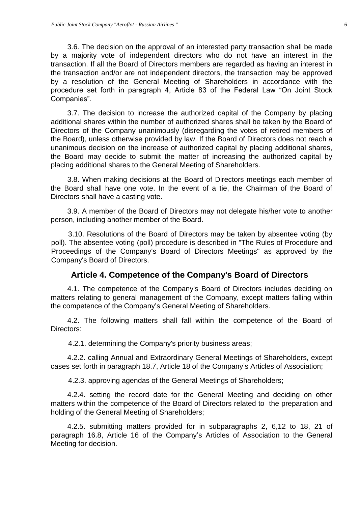3.6. The decision on the approval of an interested party transaction shall be made by a majority vote of independent directors who do not have an interest in the transaction. If all the Board of Directors members are regarded as having an interest in the transaction and/or are not independent directors, the transaction may be approved by a resolution of the General Meeting of Shareholders in accordance with the procedure set forth in paragraph 4, Article 83 of the Federal Law "On Joint Stock Companies".

3.7. The decision to increase the authorized capital of the Company by placing additional shares within the number of authorized shares shall be taken by the Board of Directors of the Company unanimously (disregarding the votes of retired members of the Board), unless otherwise provided by law. If the Board of Directors does not reach a unanimous decision on the increase of authorized capital by placing additional shares, the Board may decide to submit the matter of increasing the authorized capital by placing additional shares to the General Meeting of Shareholders.

3.8. When making decisions at the Board of Directors meetings each member of the Board shall have one vote. In the event of a tie, the Chairman of the Board of Directors shall have a casting vote.

3.9. A member of the Board of Directors may not delegate his/her vote to another person, including another member of the Board.

3.10. Resolutions of the Board of Directors may be taken by absentee voting (by poll). The absentee voting (poll) procedure is described in "The Rules of Procedure and Proceedings of the Company's Board of Directors Meetings" as approved by the Company's Board of Directors.

#### **Article 4. Competence of the Company's Board of Directors**

<span id="page-5-0"></span>4.1. The competence of the Company's Board of Directors includes deciding on matters relating to general management of the Company, except matters falling within the competence of the Company's General Meeting of Shareholders.

4.2. The following matters shall fall within the competence of the Board of Directors:

4.2.1. determining the Company's priority business areas;

4.2.2. calling Annual and Extraordinary General Meetings of Shareholders, except cases set forth in paragraph 18.7, Article 18 of the Company's Articles of Association;

4.2.3. approving agendas of the General Meetings of Shareholders;

4.2.4. setting the record date for the General Meeting and deciding on other matters within the competence of the Board of Directors related to the preparation and holding of the General Meeting of Shareholders;

4.2.5. submitting matters provided for in subparagraphs 2, 6,12 to 18, 21 of paragraph 16.8, Article 16 of the Company's Articles of Association to the General Meeting for decision.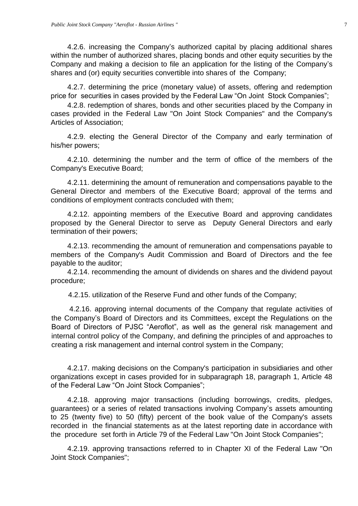4.2.6. increasing the Company's authorized capital by placing additional shares within the number of authorized shares, placing bonds and other equity securities by the Company and making a decision to file an application for the listing of the Company's shares and (or) equity securities convertible into shares of the Company;

4.2.7. determining the price (monetary value) of assets, offering and redemption price for securities in cases provided by the Federal Law "On Joint Stock Companies";

4.2.8. redemption of shares, bonds and other securities placed by the Company in cases provided in the Federal Law "On Joint Stock Companies" and the Company's Articles of Association;

4.2.9. electing the General Director of the Company and early termination of his/her powers;

4.2.10. determining the number and the term of office of the members of the Company's Executive Board;

4.2.11. determining the amount of remuneration and compensations payable to the General Director and members of the Executive Board; approval of the terms and conditions of employment contracts concluded with them;

4.2.12. appointing members of the Executive Board and approving candidates proposed by the General Director to serve as Deputy General Directors and early termination of their powers;

4.2.13. recommending the amount of remuneration and compensations payable to members of the Company's Audit Commission and Board of Directors and the fee payable to the auditor;

4.2.14. recommending the amount of dividends on shares and the dividend payout procedure;

4.2.15. utilization of the Reserve Fund and other funds of the Company;

4.2.16. approving internal documents of the Company that regulate activities of the Company's Board of Directors and its Committees, except the Regulations on the Board of Directors of PJSC "Aeroflot", as well as the general risk management and internal control policy of the Company, and defining the principles of and approaches to creating a risk management and internal control system in the Company;

4.2.17. making decisions on the Company's participation in subsidiaries and other organizations except in cases provided for in subparagraph 18, paragraph 1, Article 48 of the Federal Law "On Joint Stock Companies";

4.2.18. approving major transactions (including borrowings, credits, pledges, guarantees) or a series of related transactions involving Company's assets amounting to 25 (twenty five) to 50 (fifty) percent of the book value of the Company's assets recorded in the financial statements as at the latest reporting date in accordance with the procedure set forth in Article 79 of the Federal Law "On Joint Stock Companies";

4.2.19. approving transactions referred to in Chapter XI of the Federal Law "On Joint Stock Companies";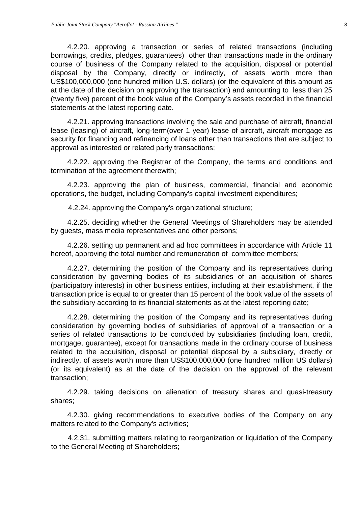4.2.20. approving a transaction or series of related transactions (including borrowings, credits, pledges, guarantees) other than transactions made in the ordinary course of business of the Company related to the acquisition, disposal or potential disposal by the Company, directly or indirectly, of assets worth more than US\$100,000,000 (one hundred million U.S. dollars) (or the equivalent of this amount as at the date of the decision on approving the transaction) and amounting to less than 25 (twenty five) percent of the book value of the Company's assets recorded in the financial statements at the latest reporting date.

4.2.21. approving transactions involving the sale and purchase of aircraft, financial lease (leasing) of aircraft, long-term(over 1 year) lease of aircraft, aircraft mortgage as security for financing and refinancing of loans other than transactions that are subject to approval as interested or related party transactions;

4.2.22. approving the Registrar of the Company, the terms and conditions and termination of the agreement therewith;

4.2.23. approving the plan of business, commercial, financial and economic operations, the budget, including Company's capital investment expenditures;

4.2.24. approving the Company's organizational structure;

4.2.25. deciding whether the General Meetings of Shareholders may be attended by guests, mass media representatives and other persons;

4.2.26. setting up permanent and ad hoc committees in accordance with Article 11 hereof, approving the total number and remuneration of committee members;

4.2.27. determining the position of the Company and its representatives during consideration by governing bodies of its subsidiaries of an acquisition of shares (participatory interests) in other business entities, including at their establishment, if the transaction price is equal to or greater than 15 percent of the book value of the assets of the subsidiary according to its financial statements as at the latest reporting date;

4.2.28. determining the position of the Company and its representatives during consideration by governing bodies of subsidiaries of approval of a transaction or a series of related transactions to be concluded by subsidiaries (including loan, credit, mortgage, guarantee), except for transactions made in the ordinary course of business related to the acquisition, disposal or potential disposal by a subsidiary, directly or indirectly, of assets worth more than US\$100,000,000 (one hundred million US dollars) (or its equivalent) as at the date of the decision on the approval of the relevant transaction;

4.2.29. taking decisions on alienation of treasury shares and quasi-treasury shares;

4.2.30. giving recommendations to executive bodies of the Company on any matters related to the Company's activities;

4.2.31. submitting matters relating to reorganization or liquidation of the Company to the General Meeting of Shareholders;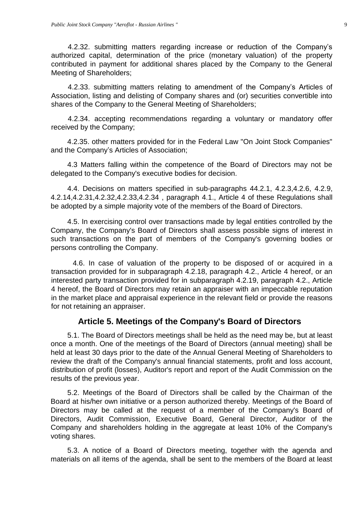4.2.32. submitting matters regarding increase or reduction of the Company's authorized capital, determination of the price (monetary valuation) of the property contributed in payment for additional shares placed by the Company to the General Meeting of Shareholders;

4.2.33. submitting matters relating to amendment of the Company's Articles of Association, listing and delisting of Company shares and (or) securities convertible into shares of the Company to the General Meeting of Shareholders;

4.2.34. accepting recommendations regarding a voluntary or mandatory offer received by the Company;

4.2.35. other matters provided for in the Federal Law "On Joint Stock Companies" and the Company's Articles of Association;

4.3 Matters falling within the competence of the Board of Directors may not be delegated to the Company's executive bodies for decision.

4.4. Decisions on matters specified in sub-paragraphs 44.2.1, 4.2.3,4.2.6, 4.2.9, 4.2.14,4.2.31,4.2.32,4.2.33,4.2.34 , paragraph 4.1., Article 4 of these Regulations shall be adopted by a simple majority vote of the members of the Board of Directors.

4.5. In exercising control over transactions made by legal entities controlled by the Company, the Company's Board of Directors shall assess possible signs of interest in such transactions on the part of members of the Company's governing bodies or persons controlling the Company.

4.6. In case of valuation of the property to be disposed of or acquired in a transaction provided for in subparagraph 4.2.18, paragraph 4.2., Article 4 hereof, or an interested party transaction provided for in subparagraph 4.2.19, paragraph 4.2., Article 4 hereof, the Board of Directors may retain an appraiser with an impeccable reputation in the market place and appraisal experience in the relevant field or provide the reasons for not retaining an appraiser.

### **Article 5. Meetings of the Company's Board of Directors**

<span id="page-8-0"></span>5.1. The Board of Directors meetings shall be held as the need may be, but at least once a month. One of the meetings of the Board of Directors (annual meeting) shall be held at least 30 days prior to the date of the Annual General Meeting of Shareholders to review the draft of the Company's annual financial statements, profit and loss account, distribution of profit (losses), Auditor's report and report of the Audit Commission on the results of the previous year.

5.2. Meetings of the Board of Directors shall be called by the Chairman of the Board at his/her own initiative or a person authorized thereby. Meetings of the Board of Directors may be called at the request of a member of the Company's Board of Directors, Audit Commission, Executive Board, General Director, Auditor of the Company and shareholders holding in the aggregate at least 10% of the Company's voting shares.

5.3. A notice of a Board of Directors meeting, together with the agenda and materials on all items of the agenda, shall be sent to the members of the Board at least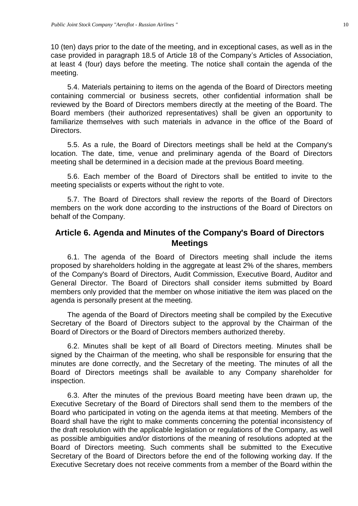10 (ten) days prior to the date of the meeting, and in exceptional cases, as well as in the case provided in paragraph 18.5 of Article 18 of the Company's Articles of Association, at least 4 (four) days before the meeting. The notice shall contain the agenda of the meeting.

5.4. Materials pertaining to items on the agenda of the Board of Directors meeting containing commercial or business secrets, other confidential information shall be reviewed by the Board of Directors members directly at the meeting of the Board. The Board members (their authorized representatives) shall be given an opportunity to familiarize themselves with such materials in advance in the office of the Board of Directors.

5.5. As a rule, the Board of Directors meetings shall be held at the Company's location. The date, time, venue and preliminary agenda of the Board of Directors meeting shall be determined in a decision made at the previous Board meeting.

5.6. Each member of the Board of Directors shall be entitled to invite to the meeting specialists or experts without the right to vote.

5.7. The Board of Directors shall review the reports of the Board of Directors members on the work done according to the instructions of the Board of Directors on behalf of the Company.

### <span id="page-9-0"></span>**Article 6. Agenda and Minutes of the Company's Board of Directors Meetings**

6.1. The agenda of the Board of Directors meeting shall include the items proposed by shareholders holding in the aggregate at least 2% of the shares, members of the Company's Board of Directors, Audit Commission, Executive Board, Auditor and General Director. The Board of Directors shall consider items submitted by Board members only provided that the member on whose initiative the item was placed on the agenda is personally present at the meeting.

The agenda of the Board of Directors meeting shall be compiled by the Executive Secretary of the Board of Directors subject to the approval by the Chairman of the Board of Directors or the Board of Directors members authorized thereby.

6.2. Minutes shall be kept of all Board of Directors meeting. Minutes shall be signed by the Chairman of the meeting, who shall be responsible for ensuring that the minutes are done correctly, and the Secretary of the meeting. The minutes of all the Board of Directors meetings shall be available to any Company shareholder for inspection.

6.3. After the minutes of the previous Board meeting have been drawn up, the Executive Secretary of the Board of Directors shall send them to the members of the Board who participated in voting on the agenda items at that meeting. Members of the Board shall have the right to make comments concerning the potential inconsistency of the draft resolution with the applicable legislation or regulations of the Company, as well as possible ambiguities and/or distortions of the meaning of resolutions adopted at the Board of Directors meeting. Such comments shall be submitted to the Executive Secretary of the Board of Directors before the end of the following working day. If the Executive Secretary does not receive comments from a member of the Board within the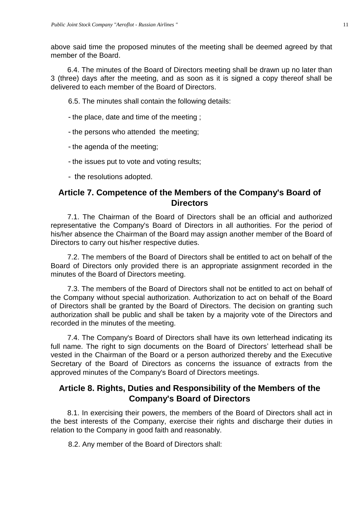above said time the proposed minutes of the meeting shall be deemed agreed by that member of the Board.

6.4. The minutes of the Board of Directors meeting shall be drawn up no later than 3 (three) days after the meeting, and as soon as it is signed a copy thereof shall be delivered to each member of the Board of Directors.

6.5. The minutes shall contain the following details:

- the place, date and time of the meeting ;
- the persons who attended the meeting;
- the agenda of the meeting;
- the issues put to vote and voting results;
- the resolutions adopted.

# <span id="page-10-0"></span>**Article 7. Competence of the Members of the Company's Board of Directors**

7.1. The Chairman of the Board of Directors shall be an official and authorized representative the Company's Board of Directors in all authorities. For the period of his/her absence the Chairman of the Board may assign another member of the Board of Directors to carry out his/her respective duties.

7.2. The members of the Board of Directors shall be entitled to act on behalf of the Board of Directors only provided there is an appropriate assignment recorded in the minutes of the Board of Directors meeting.

7.3. The members of the Board of Directors shall not be entitled to act on behalf of the Company without special authorization. Authorization to act on behalf of the Board of Directors shall be granted by the Board of Directors. The decision on granting such authorization shall be public and shall be taken by a majority vote of the Directors and recorded in the minutes of the meeting.

7.4. The Company's Board of Directors shall have its own letterhead indicating its full name. The right to sign documents on the Board of Directors' letterhead shall be vested in the Chairman of the Board or a person authorized thereby and the Executive Secretary of the Board of Directors as concerns the issuance of extracts from the approved minutes of the Company's Board of Directors meetings.

# <span id="page-10-1"></span>**Article 8. Rights, Duties and Responsibility of the Members of the Company's Board of Directors**

8.1. In exercising their powers, the members of the Board of Directors shall act in the best interests of the Company, exercise their rights and discharge their duties in relation to the Company in good faith and reasonably.

8.2. Any member of the Board of Directors shall: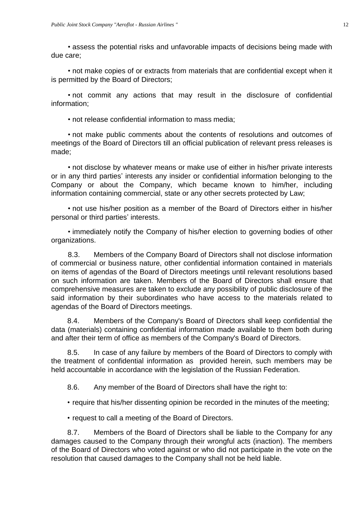• assess the potential risks and unfavorable impacts of decisions being made with due care;

• not make copies of or extracts from materials that are confidential except when it is permitted by the Board of Directors;

• not commit any actions that may result in the disclosure of confidential information;

• not release confidential information to mass media;

• not make public comments about the contents of resolutions and outcomes of meetings of the Board of Directors till an official publication of relevant press releases is made;

• not disclose by whatever means or make use of either in his/her private interests or in any third parties' interests any insider or confidential information belonging to the Company or about the Company, which became known to him/her, including information containing commercial, state or any other secrets protected by Law;

• not use his/her position as a member of the Board of Directors either in his/her personal or third parties' interests.

• immediately notify the Company of his/her election to governing bodies of other organizations.

8.3. Members of the Company Board of Directors shall not disclose information of commercial or business nature, other confidential information contained in materials on items of agendas of the Board of Directors meetings until relevant resolutions based on such information are taken. Members of the Board of Directors shall ensure that comprehensive measures are taken to exclude any possibility of public disclosure of the said information by their subordinates who have access to the materials related to agendas of the Board of Directors meetings.

8.4. Members of the Company's Board of Directors shall keep confidential the data (materials) containing confidential information made available to them both during and after their term of office as members of the Company's Board of Directors.

8.5. In case of any failure by members of the Board of Directors to comply with the treatment of confidential information as provided herein, such members may be held accountable in accordance with the legislation of the Russian Federation.

8.6. Any member of the Board of Directors shall have the right to:

- require that his/her dissenting opinion be recorded in the minutes of the meeting;
- request to call a meeting of the Board of Directors.

8.7. Members of the Board of Directors shall be liable to the Company for any damages caused to the Company through their wrongful acts (inaction). The members of the Board of Directors who voted against or who did not participate in the vote on the resolution that caused damages to the Company shall not be held liable.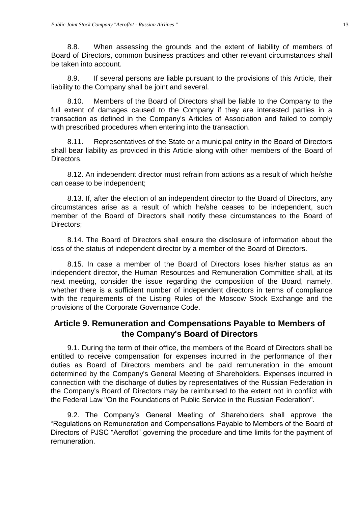8.8. When assessing the grounds and the extent of liability of members of Board of Directors, common business practices and other relevant circumstances shall be taken into account.

8.9. If several persons are liable pursuant to the provisions of this Article, their liability to the Company shall be joint and several.

8.10. Members of the Board of Directors shall be liable to the Company to the full extent of damages caused to the Company if they are interested parties in a transaction as defined in the Company's Articles of Association and failed to comply with prescribed procedures when entering into the transaction.

8.11. Representatives of the State or a municipal entity in the Board of Directors shall bear liability as provided in this Article along with other members of the Board of **Directors** 

8.12. An independent director must refrain from actions as a result of which he/she can cease to be independent;

8.13. If, after the election of an independent director to the Board of Directors, any circumstances arise as a result of which he/she ceases to be independent, such member of the Board of Directors shall notify these circumstances to the Board of Directors;

8.14. The Board of Directors shall ensure the disclosure of information about the loss of the status of independent director by a member of the Board of Directors.

8.15. In case a member of the Board of Directors loses his/her status as an independent director, the Human Resources and Remuneration Committee shall, at its next meeting, consider the issue regarding the composition of the Board, namely, whether there is a sufficient number of independent directors in terms of compliance with the requirements of the Listing Rules of the Moscow Stock Exchange and the provisions of the Corporate Governance Code.

## <span id="page-12-0"></span>**Article 9. Remuneration and Compensations Payable to Members of the Company's Board of Directors**

9.1. During the term of their office, the members of the Board of Directors shall be entitled to receive compensation for expenses incurred in the performance of their duties as Board of Directors members and be paid remuneration in the amount determined by the Company's General Meeting of Shareholders. Expenses incurred in connection with the discharge of duties by representatives of the Russian Federation in the Company's Board of Directors may be reimbursed to the extent not in conflict with the Federal Law "On the Foundations of Public Service in the Russian Federation".

9.2. The Company's General Meeting of Shareholders shall approve the "Regulations on Remuneration and Compensations Payable to Members of the Board of Directors of PJSC "Aeroflot" governing the procedure and time limits for the payment of remuneration.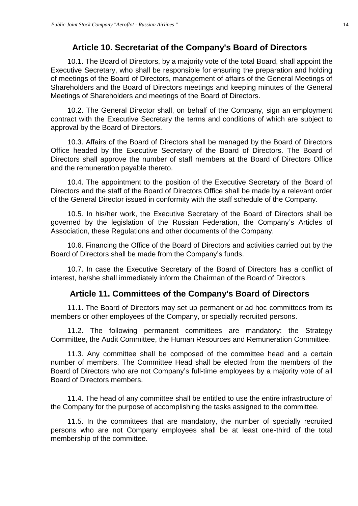#### **Article 10. Secretariat of the Company's Board of Directors**

<span id="page-13-0"></span>10.1. The Board of Directors, by a majority vote of the total Board, shall appoint the Executive Secretary, who shall be responsible for ensuring the preparation and holding of meetings of the Board of Directors, management of affairs of the General Meetings of Shareholders and the Board of Directors meetings and keeping minutes of the General Meetings of Shareholders and meetings of the Board of Directors.

10.2. The General Director shall, on behalf of the Company, sign an employment contract with the Executive Secretary the terms and conditions of which are subject to approval by the Board of Directors.

10.3. Affairs of the Board of Directors shall be managed by the Board of Directors Office headed by the Executive Secretary of the Board of Directors. The Board of Directors shall approve the number of staff members at the Board of Directors Office and the remuneration payable thereto.

10.4. The appointment to the position of the Executive Secretary of the Board of Directors and the staff of the Board of Directors Office shall be made by a relevant order of the General Director issued in conformity with the staff schedule of the Company.

10.5. In his/her work, the Executive Secretary of the Board of Directors shall be governed by the legislation of the Russian Federation, the Company's Articles of Association, these Regulations and other documents of the Company.

10.6. Financing the Office of the Board of Directors and activities carried out by the Board of Directors shall be made from the Company's funds.

10.7. In case the Executive Secretary of the Board of Directors has a conflict of interest, he/she shall immediately inform the Chairman of the Board of Directors.

#### **Article 11. Committees of the Company's Board of Directors**

<span id="page-13-1"></span>11.1. The Board of Directors may set up permanent or ad hoc committees from its members or other employees of the Company, or specially recruited persons.

11.2. The following permanent committees are mandatory: the Strategy Committee, the Audit Committee, the Human Resources and Remuneration Committee.

11.3. Any committee shall be composed of the committee head and a certain number of members. The Committee Head shall be elected from the members of the Board of Directors who are not Company's full-time employees by a majority vote of all Board of Directors members.

11.4. The head of any committee shall be entitled to use the entire infrastructure of the Company for the purpose of accomplishing the tasks assigned to the committee.

11.5. In the committees that are mandatory, the number of specially recruited persons who are not Company employees shall be at least one-third of the total membership of the committee.